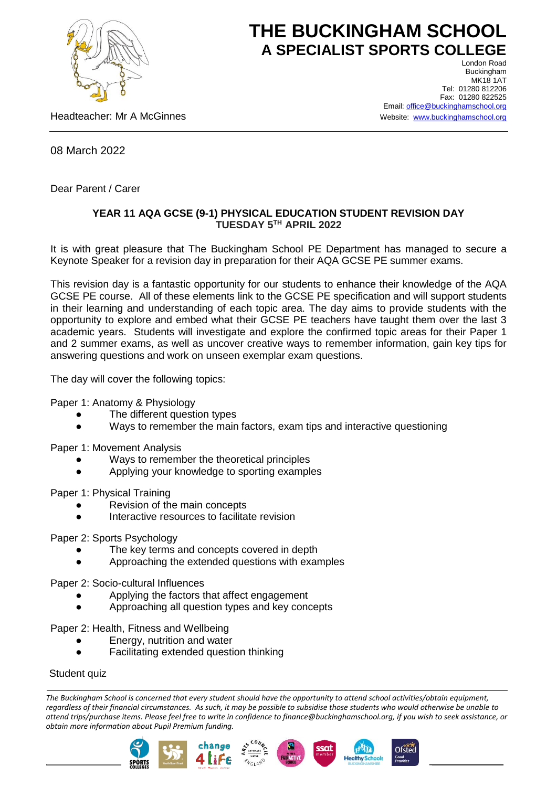

## **THE BUCKINGHAM SCHOOL A SPECIALIST SPORTS COLLEGE** London Road

Headteacher: Mr A McGinnes

Buckingham **MK18 1AT** Tel: 01280 812206 Fax: 01280 822525 Email[: office@buckinghamschool.org](mailto:office@buckinghamschool.org) Website: [www.buckinghamschool.org](http://www.buckinghamschool.org/)

08 March 2022

Dear Parent / Carer

## **YEAR 11 AQA GCSE (9-1) PHYSICAL EDUCATION STUDENT REVISION DAY TUESDAY 5TH APRIL 2022**

It is with great pleasure that The Buckingham School PE Department has managed to secure a Keynote Speaker for a revision day in preparation for their AQA GCSE PE summer exams.

This revision day is a fantastic opportunity for our students to enhance their knowledge of the AQA GCSE PE course. All of these elements link to the GCSE PE specification and will support students in their learning and understanding of each topic area. The day aims to provide students with the opportunity to explore and embed what their GCSE PE teachers have taught them over the last 3 academic years. Students will investigate and explore the confirmed topic areas for their Paper 1 and 2 summer exams, as well as uncover creative ways to remember information, gain key tips for answering questions and work on unseen exemplar exam questions.

The day will cover the following topics:

Paper 1: Anatomy & Physiology

- The different question types
- Ways to remember the main factors, exam tips and interactive questioning

Paper 1: Movement Analysis

- Ways to remember the theoretical principles
- Applying your knowledge to sporting examples

Paper 1: Physical Training

- Revision of the main concepts
- Interactive resources to facilitate revision

Paper 2: Sports Psychology

- The key terms and concepts covered in depth
- Approaching the extended questions with examples

Paper 2: Socio-cultural Influences

- Applying the factors that affect engagement
- Approaching all question types and key concepts

Paper 2: Health, Fitness and Wellbeing

- Energy, nutrition and water
- Facilitating extended question thinking

Student quiz

*The Buckingham School is concerned that every student should have the opportunity to attend school activities/obtain equipment, regardless of their financial circumstances. As such, it may be possible to subsidise those students who would otherwise be unable to attend trips/purchase items. Please feel free to write in confidence to finance@buckinghamschool.org, if you wish to seek assistance, or obtain more information about Pupil Premium funding.*